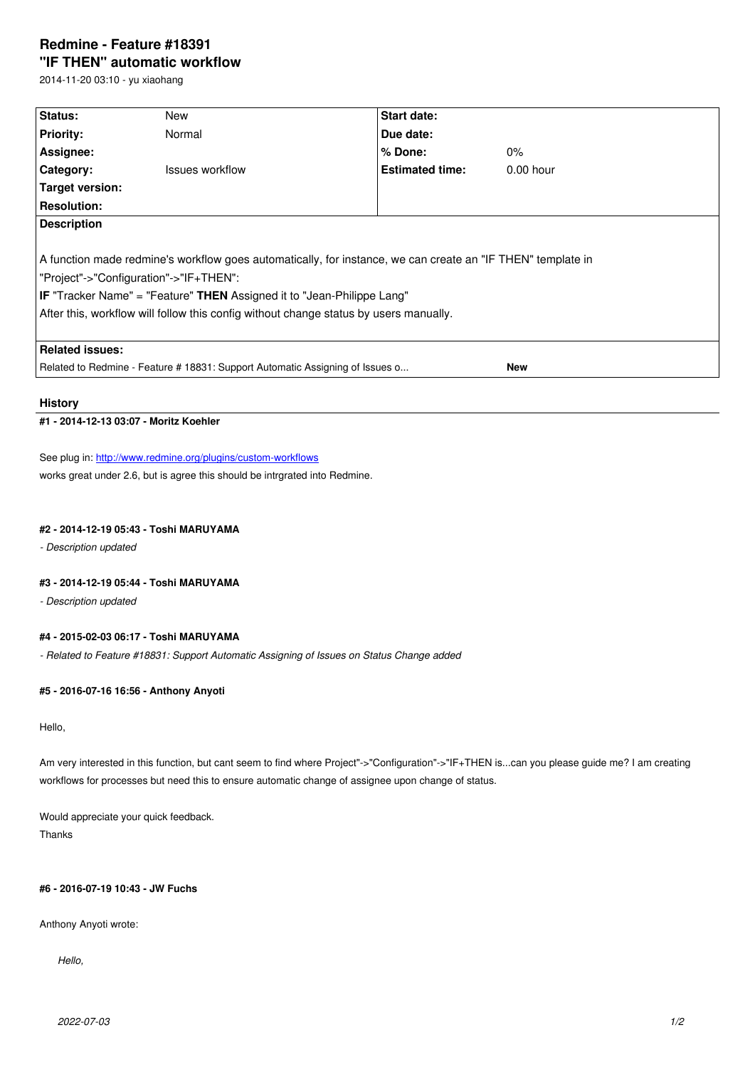#### **"IF THEN" automatic workflow**

2014-11-20 03:10 - yu xiaohang

| Status:                                                                                                     | New             | Start date:            |             |  |
|-------------------------------------------------------------------------------------------------------------|-----------------|------------------------|-------------|--|
| <b>Priority:</b>                                                                                            | Normal          | Due date:              |             |  |
| Assignee:                                                                                                   |                 | $%$ Done:              | $0\%$       |  |
| Category:                                                                                                   | Issues workflow | <b>Estimated time:</b> | $0.00$ hour |  |
| Target version:                                                                                             |                 |                        |             |  |
| <b>Resolution:</b>                                                                                          |                 |                        |             |  |
| <b>Description</b>                                                                                          |                 |                        |             |  |
|                                                                                                             |                 |                        |             |  |
| A function made redmine's workflow goes automatically, for instance, we can create an "IF THEN" template in |                 |                        |             |  |
| "Project"->"Configuration"->"IF+THEN":                                                                      |                 |                        |             |  |
| <b>IF</b> "Tracker Name" = "Feature" THEN Assigned it to "Jean-Philippe Lang"                               |                 |                        |             |  |
| After this, workflow will follow this config without change status by users manually.                       |                 |                        |             |  |
|                                                                                                             |                 |                        |             |  |
| <b>Related issues:</b>                                                                                      |                 |                        |             |  |
| Related to Redmine - Feature # 18831: Support Automatic Assigning of Issues o<br><b>New</b>                 |                 |                        |             |  |

#### **History**

# **#1 - 2014-12-13 03:07 - Moritz Koehler**

See plug in: http://www.redmine.org/plugins/custom-workflows works great under 2.6, but is agree this should be intrgrated into Redmine.

#### **#2 - 2014-1[2-19 05:43 - Toshi MARUYAMA](http://www.redmine.org/plugins/custom-workflows)**

*- Description updated*

## **#3 - 2014-12-19 05:44 - Toshi MARUYAMA**

*- Description updated*

# **#4 - 2015-02-03 06:17 - Toshi MARUYAMA**

*- Related to Feature #18831: Support Automatic Assigning of Issues on Status Change added*

## **#5 - 2016-07-16 16:56 - Anthony Anyoti**

Hello,

Am very interested in this function, but cant seem to find where Project"->"Configuration"->"IF+THEN is...can you please guide me? I am creating workflows for processes but need this to ensure automatic change of assignee upon change of status.

Would appreciate your quick feedback. Thanks

# **#6 - 2016-07-19 10:43 - JW Fuchs**

Anthony Anyoti wrote:

*Hello,*